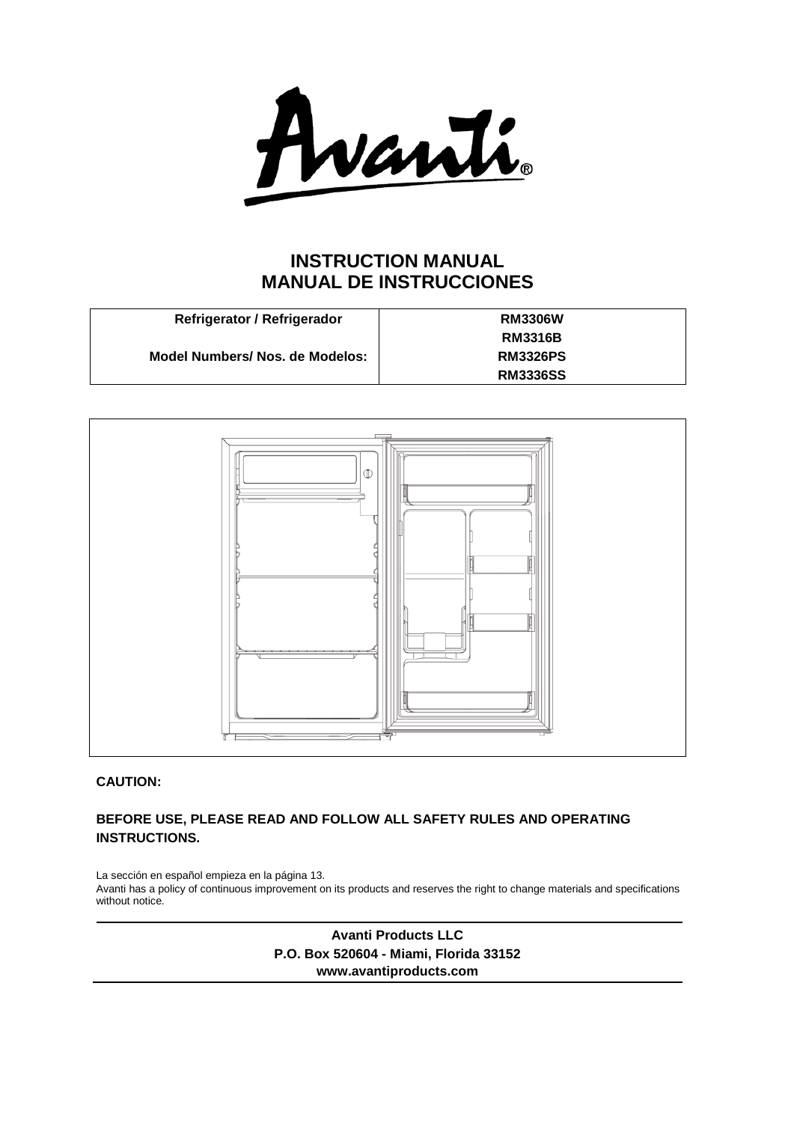Avanti

# **INSTRUCTION MANUAL MANUAL DE INSTRUCCIONES**

| Refrigerator / Refrigerador     | <b>RM3306W</b>  |
|---------------------------------|-----------------|
|                                 | <b>RM3316B</b>  |
| Model Numbers/ Nos. de Modelos: | <b>RM3326PS</b> |
|                                 | <b>RM3336SS</b> |



# **CAUTION:**

# **BEFORE USE, PLEASE READ AND FOLLOW ALL SAFETY RULES AND OPERATING INSTRUCTIONS.**

La sección en español empieza en la página 13. Avanti has a policy of continuous improvement on its products and reserves the right to change materials and specifications without notice.

> **Avanti Products LLC P.O. Box 520604 - Miami, Florida 33152 www.avantiproducts.com**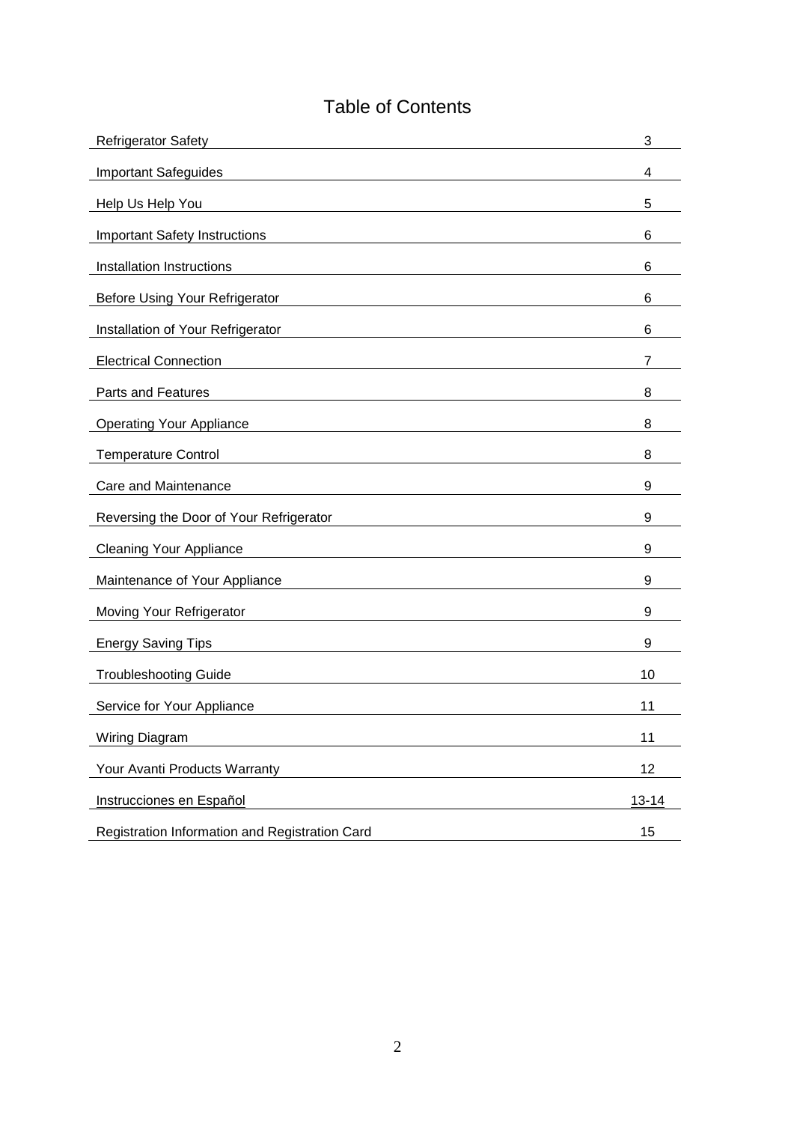# Table of Contents

| <b>Refrigerator Safety</b>                     | 3         |
|------------------------------------------------|-----------|
| <b>Important Safeguides</b>                    | 4         |
| Help Us Help You                               | 5         |
| <b>Important Safety Instructions</b>           | 6         |
| Installation Instructions                      | 6         |
| <b>Before Using Your Refrigerator</b>          | 6         |
| Installation of Your Refrigerator              | 6         |
| <b>Electrical Connection</b>                   | 7         |
| Parts and Features                             | 8         |
| <b>Operating Your Appliance</b>                | 8         |
| <b>Temperature Control</b>                     | 8         |
| Care and Maintenance                           | 9         |
| Reversing the Door of Your Refrigerator        | 9         |
| <b>Cleaning Your Appliance</b>                 | 9         |
| Maintenance of Your Appliance                  | 9         |
| Moving Your Refrigerator                       | 9         |
| <b>Energy Saving Tips</b>                      | 9         |
| <b>Troubleshooting Guide</b>                   | 10        |
| Service for Your Appliance                     | 11        |
| Wiring Diagram                                 | 11        |
| Your Avanti Products Warranty                  | 12        |
| Instrucciones en Español                       | $13 - 14$ |
| Registration Information and Registration Card | 15        |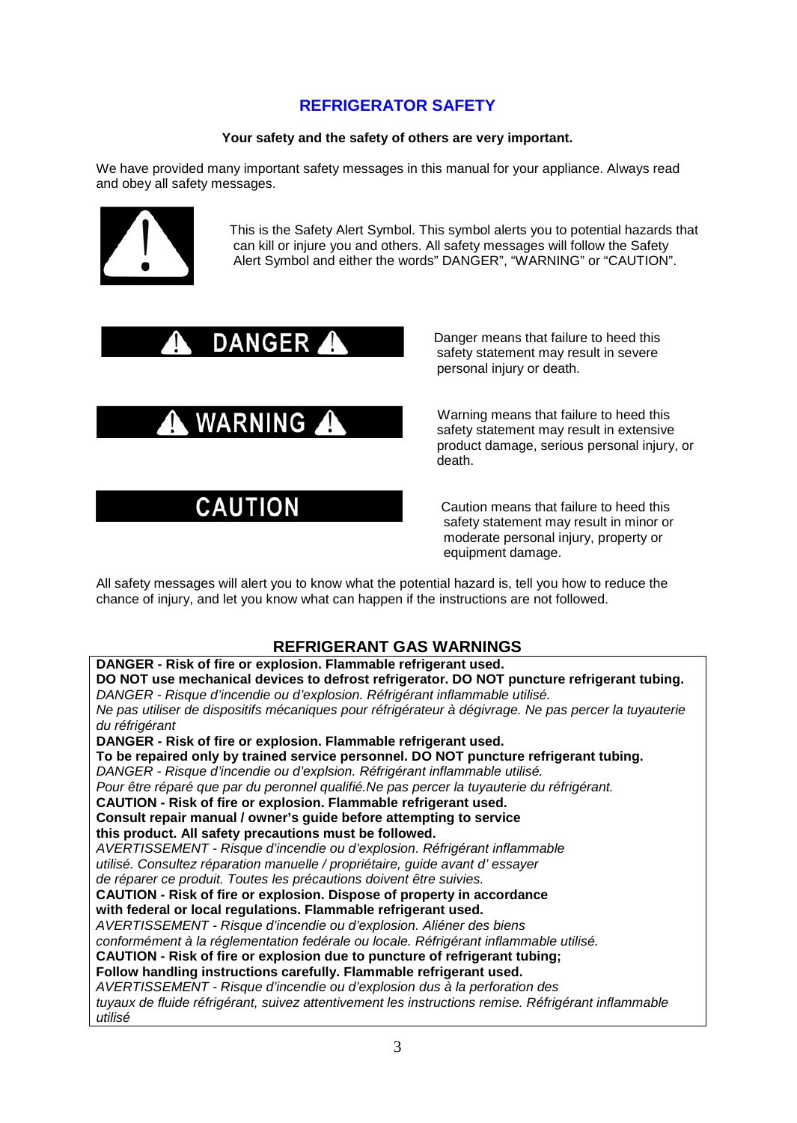# **REFRIGERATOR SAFETY**

## **Your safety and the safety of others are very important.**

We have provided many important safety messages in this manual for your appliance. Always read and obey all safety messages.



 This is the Safety Alert Symbol. This symbol alerts you to potential hazards that can kill or injure you and others. All safety messages will follow the Safety Alert Symbol and either the words" DANGER", "WARNING" or "CAUTION".

DANGER Panger means that failure to heed this safety statement may result in severe personal injury or death.

WARNING Marning means that failure to heed this safety statement may result in extensive product damage, serious personal injury, or death.

CAUTION Caution means that failure to heed this safety statement may result in minor or moderate personal injury, property or equipment damage.

All safety messages will alert you to know what the potential hazard is, tell you how to reduce the chance of injury, and let you know what can happen if the instructions are not followed.

# **REFRIGERANT GAS WARNINGS**

**DANGER - Risk of fire or explosion. Flammable refrigerant used. DO NOT use mechanical devices to defrost refrigerator. DO NOT puncture refrigerant tubing.** *DANGER - Risque d'incendie ou d'explosion. Réfrigérant inflammable utilisé. Ne pas utiliser de dispositifs mécaniques pour réfrigérateur à dégivrage. Ne pas percer la tuyauterie du réfrigérant* **DANGER - Risk of fire or explosion. Flammable refrigerant used. To be repaired only by trained service personnel. DO NOT puncture refrigerant tubing.** *DANGER - Risque d'incendie ou d'explsion. Réfrigérant inflammable utilisé. Pour être réparé que par du peronnel qualifié.Ne pas percer la tuyauterie du réfrigérant.* **CAUTION - Risk of fire or explosion. Flammable refrigerant used. Consult repair manual / owner's guide before attempting to service this product. All safety precautions must be followed.** *AVERTISSEMENT - Risque d'incendie ou d'explosion. Réfrigérant inflammable utilisé. Consultez réparation manuelle / propriétaire, guide avant d' essayer de réparer ce produit. Toutes les précautions doivent être suivies.* **CAUTION - Risk of fire or explosion. Dispose of property in accordance with federal or local regulations. Flammable refrigerant used.** *AVERTISSEMENT - Risque d'incendie ou d'explosion. Aliéner des biens conformément à la réglementation fedérale ou locale. Réfrigérant inflammable utilisé.* **CAUTION - Risk of fire or explosion due to puncture of refrigerant tubing; Follow handling instructions carefully. Flammable refrigerant used.** *AVERTISSEMENT - Risque d'incendie ou d'explosion dus à la perforation des tuyaux de fluide réfrigérant, suivez attentivement les instructions remise. Réfrigérant inflammable utilisé*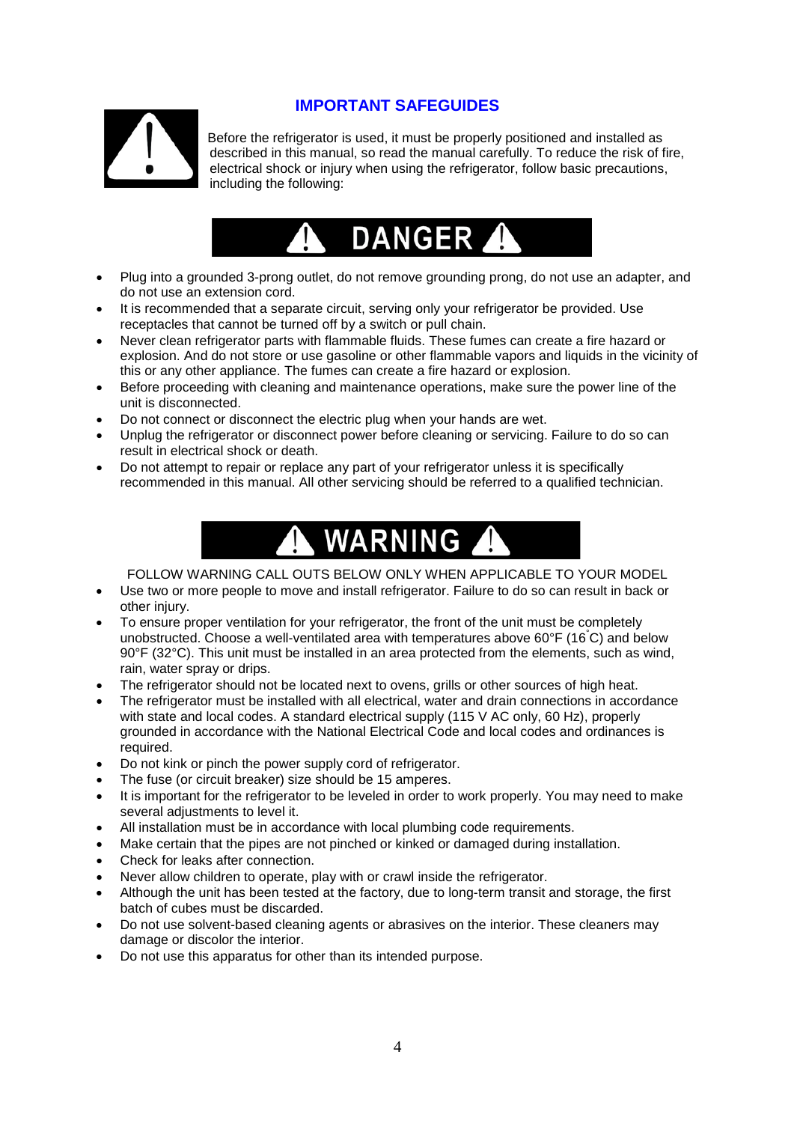

# **IMPORTANT SAFEGUIDES**

 Before the refrigerator is used, it must be properly positioned and installed as described in this manual, so read the manual carefully. To reduce the risk of fire, electrical shock or injury when using the refrigerator, follow basic precautions, including the following:



- Plug into a grounded 3-prong outlet, do not remove grounding prong, do not use an adapter, and do not use an extension cord.
- It is recommended that a separate circuit, serving only your refrigerator be provided. Use receptacles that cannot be turned off by a switch or pull chain.
- Never clean refrigerator parts with flammable fluids. These fumes can create a fire hazard or explosion. And do not store or use gasoline or other flammable vapors and liquids in the vicinity of this or any other appliance. The fumes can create a fire hazard or explosion.
- Before proceeding with cleaning and maintenance operations, make sure the power line of the unit is disconnected.
- Do not connect or disconnect the electric plug when your hands are wet.
- Unplug the refrigerator or disconnect power before cleaning or servicing. Failure to do so can result in electrical shock or death.
- Do not attempt to repair or replace any part of your refrigerator unless it is specifically recommended in this manual. All other servicing should be referred to a qualified technician.



FOLLOW WARNING CALL OUTS BELOW ONLY WHEN APPLICABLE TO YOUR MODEL

- Use two or more people to move and install refrigerator. Failure to do so can result in back or other injury.
- To ensure proper ventilation for your refrigerator, the front of the unit must be completely unobstructed. Choose a well-ventilated area with temperatures above 60°F (16° C) and below 90°F (32°C). This unit must be installed in an area protected from the elements, such as wind, rain, water spray or drips.
- The refrigerator should not be located next to ovens, grills or other sources of high heat.
- The refrigerator must be installed with all electrical, water and drain connections in accordance with state and local codes. A standard electrical supply (115 V AC only, 60 Hz), properly grounded in accordance with the National Electrical Code and local codes and ordinances is required.
- Do not kink or pinch the power supply cord of refrigerator.
- The fuse (or circuit breaker) size should be 15 amperes.
- It is important for the refrigerator to be leveled in order to work properly. You may need to make several adjustments to level it.
- All installation must be in accordance with local plumbing code requirements.
- Make certain that the pipes are not pinched or kinked or damaged during installation.
- Check for leaks after connection.
- Never allow children to operate, play with or crawl inside the refrigerator.
- Although the unit has been tested at the factory, due to long-term transit and storage, the first batch of cubes must be discarded.
- Do not use solvent-based cleaning agents or abrasives on the interior. These cleaners may damage or discolor the interior.
- Do not use this apparatus for other than its intended purpose.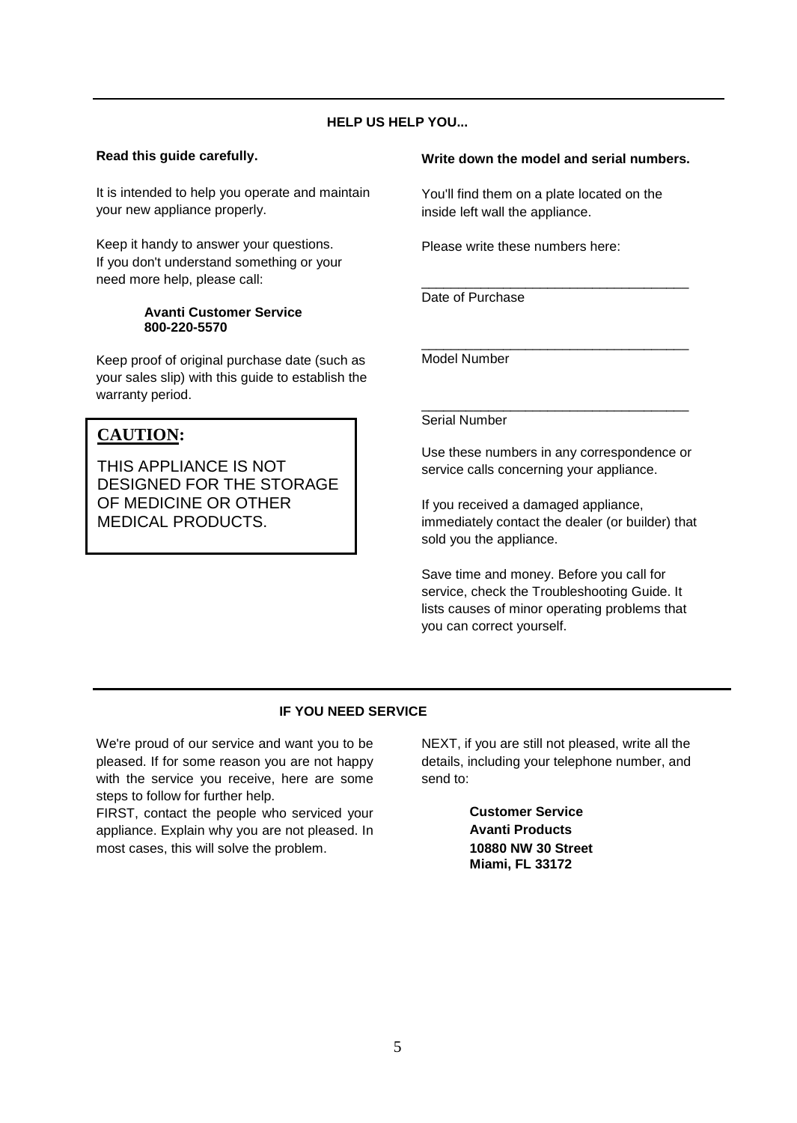# **HELP US HELP YOU...**

## **Read this guide carefully.**

It is intended to help you operate and maintain your new appliance properly.

Keep it handy to answer your questions. If you don't understand something or your need more help, please call:

#### **Avanti Customer Service 800-220-5570**

Keep proof of original purchase date (such as your sales slip) with this guide to establish the warranty period.

# **CAUTION:**

THIS APPLIANCE IS NOT DESIGNED FOR THE STORAGE OF MEDICINE OR OTHER MEDICAL PRODUCTS.

## **Write down the model and serial numbers.**

You'll find them on a plate located on the inside left wall the appliance.

\_\_\_\_\_\_\_\_\_\_\_\_\_\_\_\_\_\_\_\_\_\_\_\_\_\_\_\_\_\_\_\_\_\_\_\_

Please write these numbers here:

Date of Purchase

\_\_\_\_\_\_\_\_\_\_\_\_\_\_\_\_\_\_\_\_\_\_\_\_\_\_\_\_\_\_\_\_\_\_\_\_ Model Number

## Serial Number

Use these numbers in any correspondence or service calls concerning your appliance.

\_\_\_\_\_\_\_\_\_\_\_\_\_\_\_\_\_\_\_\_\_\_\_\_\_\_\_\_\_\_\_\_\_\_\_\_

If you received a damaged appliance, immediately contact the dealer (or builder) that sold you the appliance.

Save time and money. Before you call for service, check the Troubleshooting Guide. It lists causes of minor operating problems that you can correct yourself.

## **IF YOU NEED SERVICE**

We're proud of our service and want you to be pleased. If for some reason you are not happy with the service you receive, here are some steps to follow for further help.

FIRST, contact the people who serviced your appliance. Explain why you are not pleased. In most cases, this will solve the problem.

NEXT, if you are still not pleased, write all the details, including your telephone number, and send to:

> **Customer Service Avanti Products 10880 NW 30 Street Miami, FL 33172**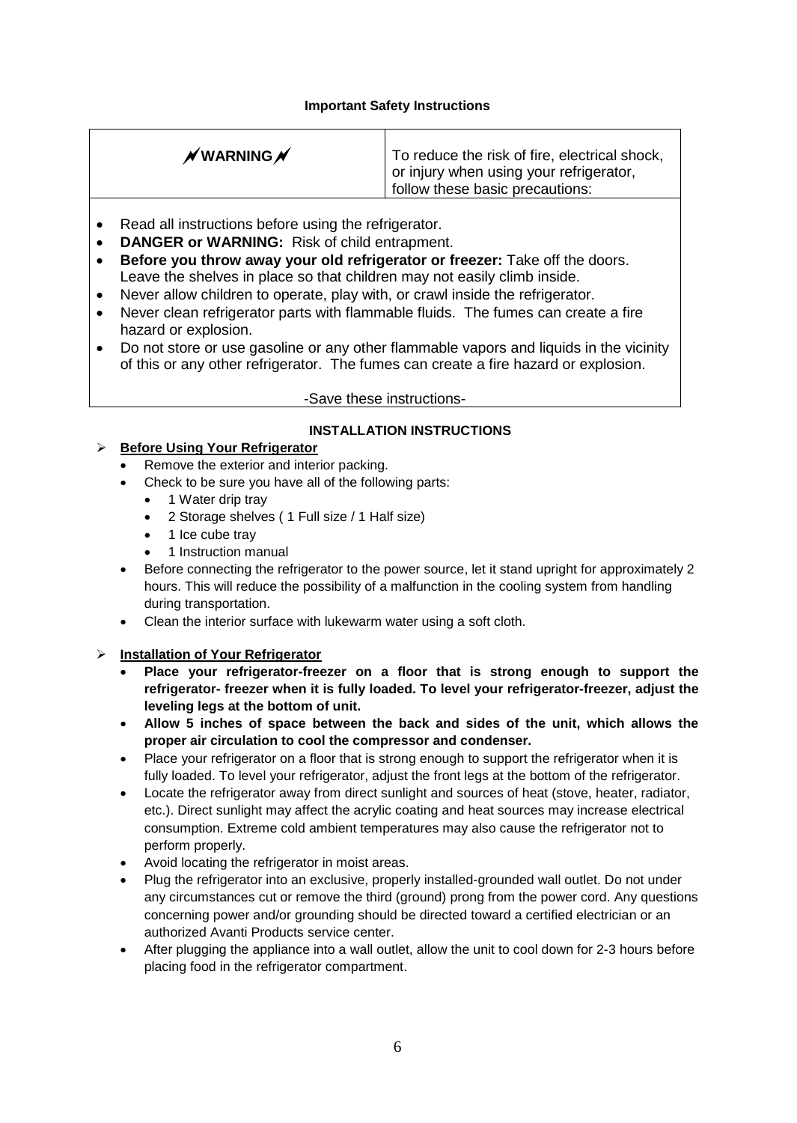## **Important Safety Instructions**

| $\n  N WARNING N\n$ | To reduce the risk of fire, electrical shock,<br>or injury when using your refrigerator,<br>follow these basic precautions: |
|---------------------|-----------------------------------------------------------------------------------------------------------------------------|
|                     |                                                                                                                             |

- Read all instructions before using the refrigerator.
- **DANGER or WARNING:** Risk of child entrapment.
- **Before you throw away your old refrigerator or freezer:** Take off the doors. Leave the shelves in place so that children may not easily climb inside.
- Never allow children to operate, play with, or crawl inside the refrigerator.
- Never clean refrigerator parts with flammable fluids. The fumes can create a fire hazard or explosion.
- Do not store or use gasoline or any other flammable vapors and liquids in the vicinity of this or any other refrigerator. The fumes can create a fire hazard or explosion.

-Save these instructions-

## **INSTALLATION INSTRUCTIONS**

## **Before Using Your Refrigerator**

- Remove the exterior and interior packing.
- Check to be sure you have all of the following parts:
	- 1 Water drip tray
	- 2 Storage shelves ( 1 Full size / 1 Half size)
	- 1 Ice cube tray
	- 1 Instruction manual
- Before connecting the refrigerator to the power source, let it stand upright for approximately 2 hours. This will reduce the possibility of a malfunction in the cooling system from handling during transportation.
- Clean the interior surface with lukewarm water using a soft cloth.

## **Installation of Your Refrigerator**

- **Place your refrigerator-freezer on a floor that is strong enough to support the refrigerator- freezer when it is fully loaded. To level your refrigerator-freezer, adjust the leveling legs at the bottom of unit.**
- **Allow 5 inches of space between the back and sides of the unit, which allows the proper air circulation to cool the compressor and condenser.**
- Place your refrigerator on a floor that is strong enough to support the refrigerator when it is fully loaded. To level your refrigerator, adjust the front legs at the bottom of the refrigerator.
- Locate the refrigerator away from direct sunlight and sources of heat (stove, heater, radiator, etc.). Direct sunlight may affect the acrylic coating and heat sources may increase electrical consumption. Extreme cold ambient temperatures may also cause the refrigerator not to perform properly.
- Avoid locating the refrigerator in moist areas.
- Plug the refrigerator into an exclusive, properly installed-grounded wall outlet. Do not under any circumstances cut or remove the third (ground) prong from the power cord. Any questions concerning power and/or grounding should be directed toward a certified electrician or an authorized Avanti Products service center.
- After plugging the appliance into a wall outlet, allow the unit to cool down for 2-3 hours before placing food in the refrigerator compartment.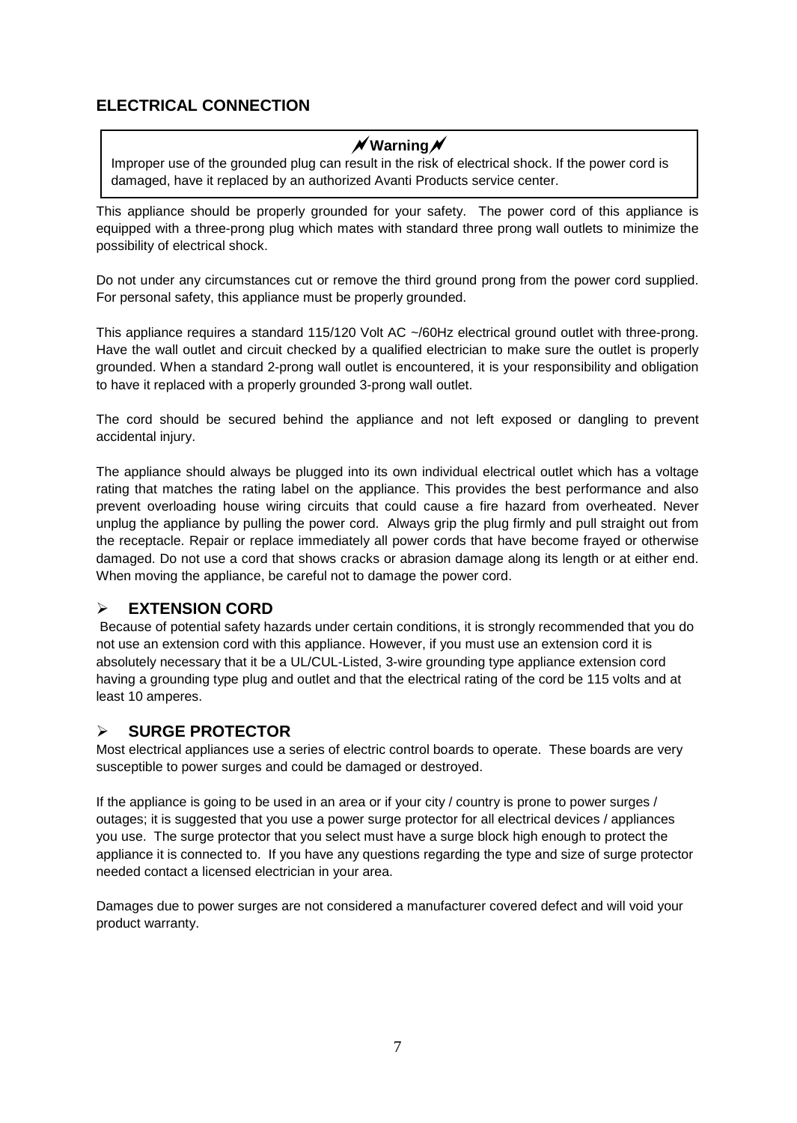# **ELECTRICAL CONNECTION**

# **Warning**

Improper use of the grounded plug can result in the risk of electrical shock. If the power cord is damaged, have it replaced by an authorized Avanti Products service center.

This appliance should be properly grounded for your safety. The power cord of this appliance is equipped with a three-prong plug which mates with standard three prong wall outlets to minimize the possibility of electrical shock.

Do not under any circumstances cut or remove the third ground prong from the power cord supplied. For personal safety, this appliance must be properly grounded.

This appliance requires a standard 115/120 Volt AC ~/60Hz electrical ground outlet with three-prong. Have the wall outlet and circuit checked by a qualified electrician to make sure the outlet is properly grounded. When a standard 2-prong wall outlet is encountered, it is your responsibility and obligation to have it replaced with a properly grounded 3-prong wall outlet.

The cord should be secured behind the appliance and not left exposed or dangling to prevent accidental injury.

The appliance should always be plugged into its own individual electrical outlet which has a voltage rating that matches the rating label on the appliance. This provides the best performance and also prevent overloading house wiring circuits that could cause a fire hazard from overheated. Never unplug the appliance by pulling the power cord. Always grip the plug firmly and pull straight out from the receptacle. Repair or replace immediately all power cords that have become frayed or otherwise damaged. Do not use a cord that shows cracks or abrasion damage along its length or at either end. When moving the appliance, be careful not to damage the power cord.

# **EXTENSION CORD**

Because of potential safety hazards under certain conditions, it is strongly recommended that you do not use an extension cord with this appliance. However, if you must use an extension cord it is absolutely necessary that it be a UL/CUL-Listed, 3-wire grounding type appliance extension cord having a grounding type plug and outlet and that the electrical rating of the cord be 115 volts and at least 10 amperes.

# **SURGE PROTECTOR**

Most electrical appliances use a series of electric control boards to operate. These boards are very susceptible to power surges and could be damaged or destroyed.

If the appliance is going to be used in an area or if your city / country is prone to power surges / outages; it is suggested that you use a power surge protector for all electrical devices / appliances you use. The surge protector that you select must have a surge block high enough to protect the appliance it is connected to. If you have any questions regarding the type and size of surge protector needed contact a licensed electrician in your area.

Damages due to power surges are not considered a manufacturer covered defect and will void your product warranty.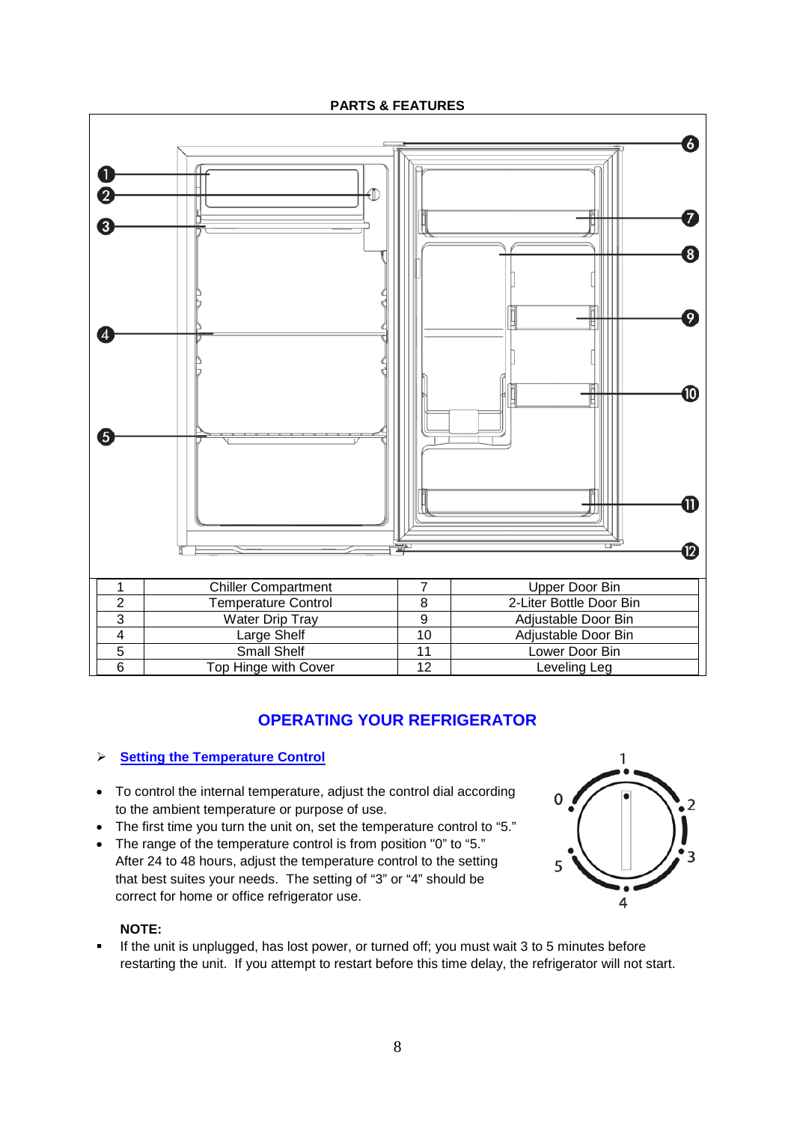**PARTS & FEATURES**



# **OPERATING YOUR REFRIGERATOR**

# **Setting the Temperature Control**

- To control the internal temperature, adjust the control dial according to the ambient temperature or purpose of use.
- The first time you turn the unit on, set the temperature control to "5."
- The range of the temperature control is from position "0" to "5." After 24 to 48 hours, adjust the temperature control to the setting that best suites your needs. The setting of "3" or "4" should be correct for home or office refrigerator use.

## **NOTE:**

If the unit is unplugged, has lost power, or turned off; you must wait 3 to 5 minutes before restarting the unit. If you attempt to restart before this time delay, the refrigerator will not start.

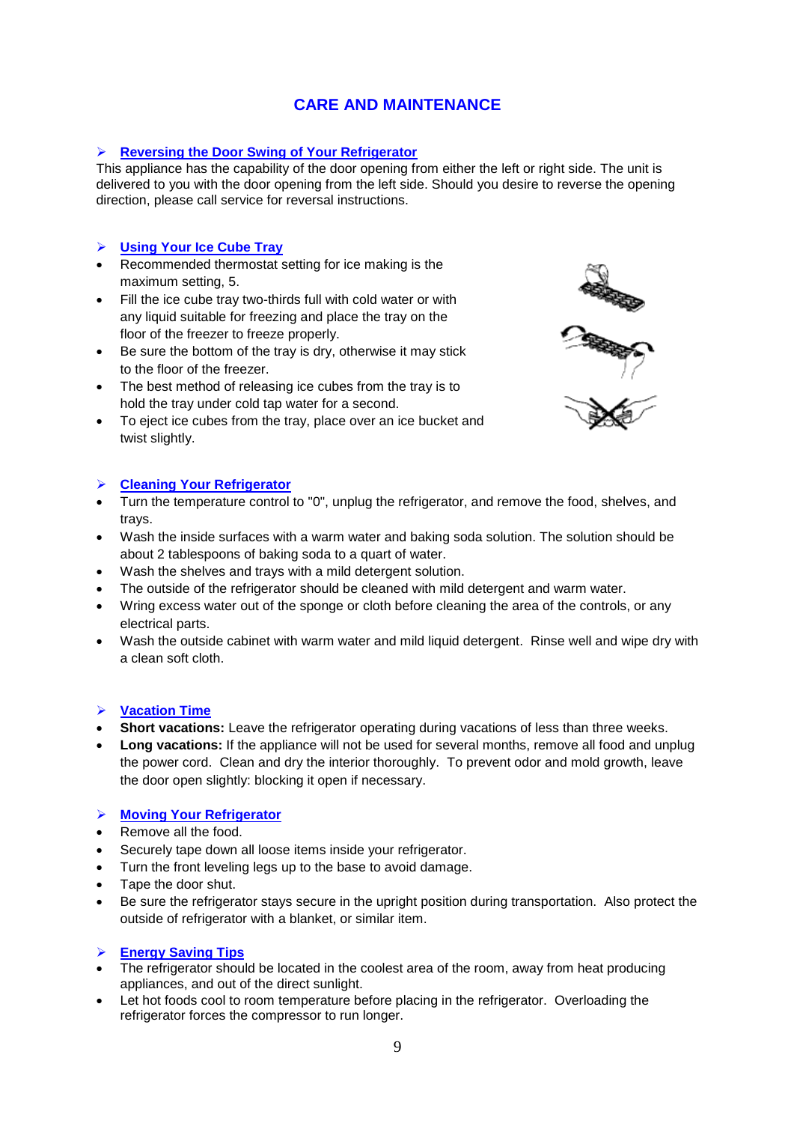# **CARE AND MAINTENANCE**

## **Reversing the Door Swing of Your Refrigerator**

This appliance has the capability of the door opening from either the left or right side. The unit is delivered to you with the door opening from the left side. Should you desire to reverse the opening direction, please call service for reversal instructions.

## **Using Your Ice Cube Tray**

- Recommended thermostat setting for ice making is the maximum setting, 5.
- Fill the ice cube tray two-thirds full with cold water or with any liquid suitable for freezing and place the tray on the floor of the freezer to freeze properly.
- Be sure the bottom of the tray is dry, otherwise it may stick to the floor of the freezer.
- The best method of releasing ice cubes from the tray is to hold the tray under cold tap water for a second.
- To eject ice cubes from the tray, place over an ice bucket and twist slightly.



## **Cleaning Your Refrigerator**

- Turn the temperature control to "0", unplug the refrigerator, and remove the food, shelves, and trays.
- Wash the inside surfaces with a warm water and baking soda solution. The solution should be about 2 tablespoons of baking soda to a quart of water.
- Wash the shelves and trays with a mild detergent solution.
- The outside of the refrigerator should be cleaned with mild detergent and warm water.
- Wring excess water out of the sponge or cloth before cleaning the area of the controls, or any electrical parts.
- Wash the outside cabinet with warm water and mild liquid detergent. Rinse well and wipe dry with a clean soft cloth.

## **Vacation Time**

- **Short vacations:** Leave the refrigerator operating during vacations of less than three weeks.
- **Long vacations:** If the appliance will not be used for several months, remove all food and unplug the power cord. Clean and dry the interior thoroughly. To prevent odor and mold growth, leave the door open slightly: blocking it open if necessary.

## **Moving Your Refrigerator**

- Remove all the food.
- Securely tape down all loose items inside your refrigerator.
- Turn the front leveling legs up to the base to avoid damage.
- Tape the door shut.
- Be sure the refrigerator stays secure in the upright position during transportation. Also protect the outside of refrigerator with a blanket, or similar item.

#### **Energy Saving Tips**

- The refrigerator should be located in the coolest area of the room, away from heat producing appliances, and out of the direct sunlight.
- Let hot foods cool to room temperature before placing in the refrigerator. Overloading the refrigerator forces the compressor to run longer.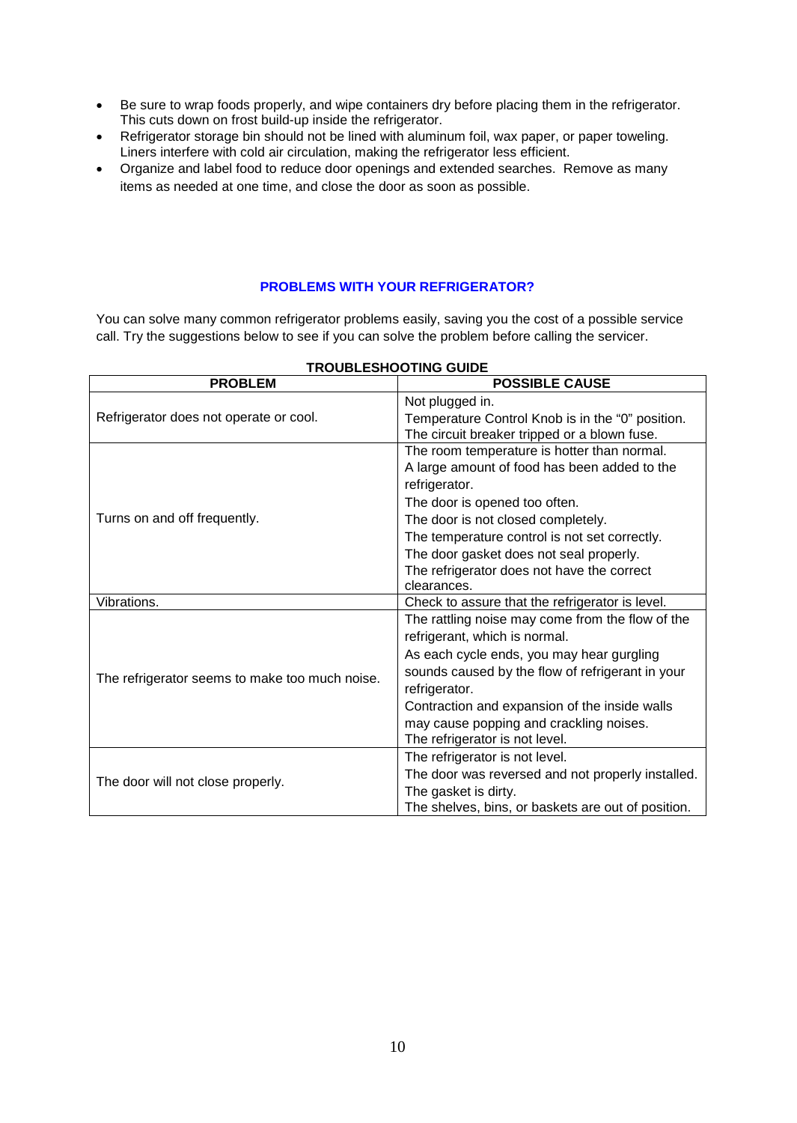- Be sure to wrap foods properly, and wipe containers dry before placing them in the refrigerator. This cuts down on frost build-up inside the refrigerator.
- Refrigerator storage bin should not be lined with aluminum foil, wax paper, or paper toweling. Liners interfere with cold air circulation, making the refrigerator less efficient.
- Organize and label food to reduce door openings and extended searches. Remove as many items as needed at one time, and close the door as soon as possible.

## **PROBLEMS WITH YOUR REFRIGERATOR?**

You can solve many common refrigerator problems easily, saving you the cost of a possible service call. Try the suggestions below to see if you can solve the problem before calling the servicer.

| <b>PROBLEM</b>                                 | <b>POSSIBLE CAUSE</b>                              |
|------------------------------------------------|----------------------------------------------------|
|                                                | Not plugged in.                                    |
| Refrigerator does not operate or cool.         | Temperature Control Knob is in the "0" position.   |
|                                                | The circuit breaker tripped or a blown fuse.       |
|                                                | The room temperature is hotter than normal.        |
|                                                | A large amount of food has been added to the       |
|                                                | refrigerator.                                      |
|                                                | The door is opened too often.                      |
| Turns on and off frequently.                   | The door is not closed completely.                 |
|                                                | The temperature control is not set correctly.      |
|                                                | The door gasket does not seal properly.            |
|                                                | The refrigerator does not have the correct         |
|                                                | clearances.                                        |
| Vibrations.                                    | Check to assure that the refrigerator is level.    |
|                                                | The rattling noise may come from the flow of the   |
| The refrigerator seems to make too much noise. | refrigerant, which is normal.                      |
|                                                | As each cycle ends, you may hear gurgling          |
|                                                | sounds caused by the flow of refrigerant in your   |
|                                                | refrigerator.                                      |
|                                                | Contraction and expansion of the inside walls      |
|                                                | may cause popping and crackling noises.            |
|                                                | The refrigerator is not level.                     |
|                                                | The refrigerator is not level.                     |
| The door will not close properly.              | The door was reversed and not properly installed.  |
|                                                | The gasket is dirty.                               |
|                                                | The shelves, bins, or baskets are out of position. |

## **TROUBLESHOOTING GUIDE**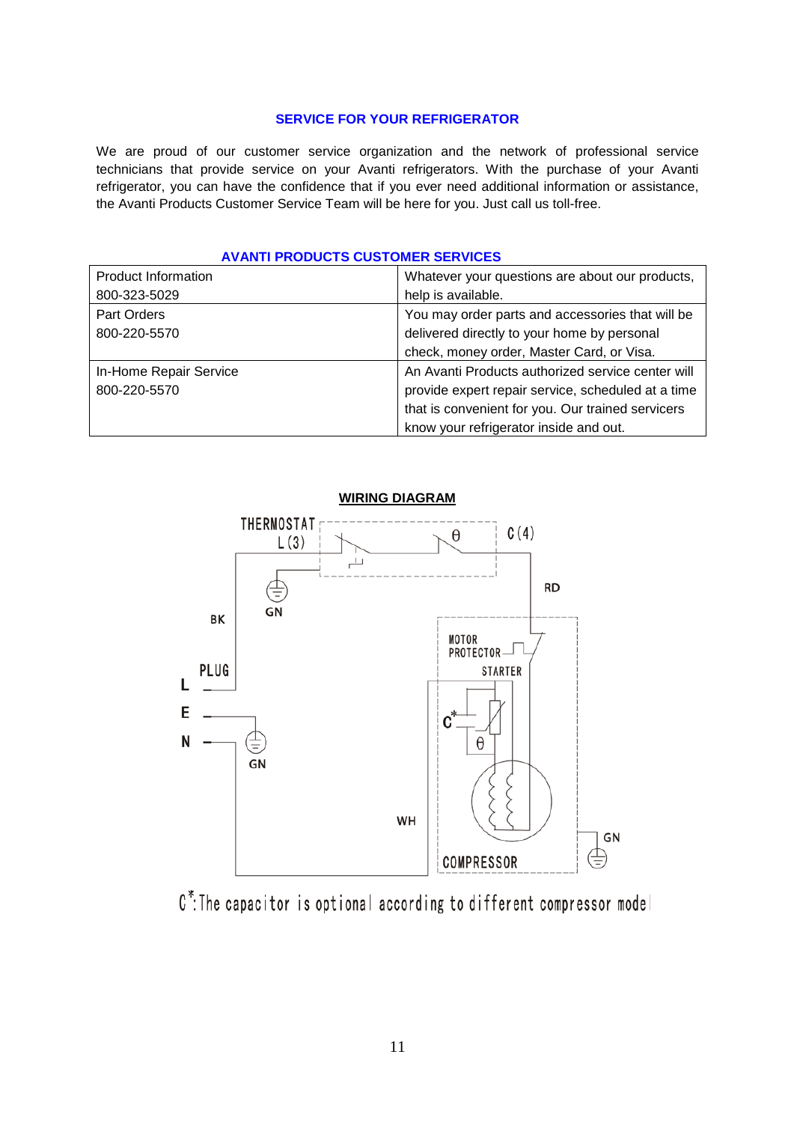### **SERVICE FOR YOUR REFRIGERATOR**

We are proud of our customer service organization and the network of professional service technicians that provide service on your Avanti refrigerators. With the purchase of your Avanti refrigerator, you can have the confidence that if you ever need additional information or assistance, the Avanti Products Customer Service Team will be here for you. Just call us toll-free.

| <b>AVANTI PRODUCTS CUSTOMER SERVICES</b> |  |  |  |  |
|------------------------------------------|--|--|--|--|
|------------------------------------------|--|--|--|--|

| <b>Product Information</b> | Whatever your questions are about our products,    |
|----------------------------|----------------------------------------------------|
| 800-323-5029               | help is available.                                 |
| Part Orders                | You may order parts and accessories that will be   |
| 800-220-5570               | delivered directly to your home by personal        |
|                            | check, money order, Master Card, or Visa.          |
| In-Home Repair Service     | An Avanti Products authorized service center will  |
| 800-220-5570               | provide expert repair service, scheduled at a time |
|                            | that is convenient for you. Our trained servicers  |
|                            | know your refrigerator inside and out.             |



C<sup>\*</sup>: The capacitor is optional according to different compressor model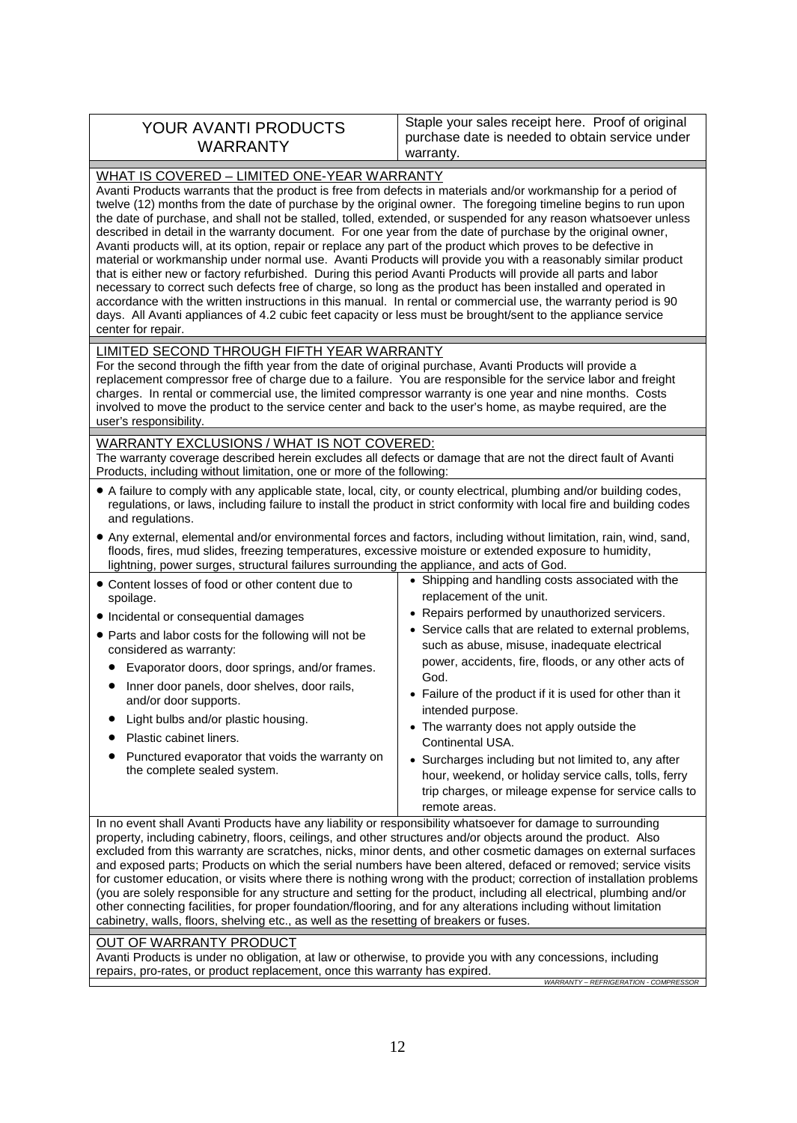| warranty. | YOUR AVANTI PRODUCTS<br><b>WARRANTY</b> | Staple your sales receipt here. Proof of original<br>purchase date is needed to obtain service under |
|-----------|-----------------------------------------|------------------------------------------------------------------------------------------------------|
|-----------|-----------------------------------------|------------------------------------------------------------------------------------------------------|

| WHAT IS COVERED - LIMITED ONE-YEAR WARRANTY<br>Avanti Products warrants that the product is free from defects in materials and/or workmanship for a period of<br>twelve (12) months from the date of purchase by the original owner. The foregoing timeline begins to run upon<br>the date of purchase, and shall not be stalled, tolled, extended, or suspended for any reason whatsoever unless<br>described in detail in the warranty document. For one year from the date of purchase by the original owner,<br>Avanti products will, at its option, repair or replace any part of the product which proves to be defective in<br>material or workmanship under normal use. Avanti Products will provide you with a reasonably similar product<br>that is either new or factory refurbished. During this period Avanti Products will provide all parts and labor<br>necessary to correct such defects free of charge, so long as the product has been installed and operated in<br>accordance with the written instructions in this manual. In rental or commercial use, the warranty period is 90<br>days. All Avanti appliances of 4.2 cubic feet capacity or less must be brought/sent to the appliance service<br>center for repair. |                                                                                                                                                                                                                                                                                                                                                                                                                                                                                                                                                                                                                                                        |  |
|----------------------------------------------------------------------------------------------------------------------------------------------------------------------------------------------------------------------------------------------------------------------------------------------------------------------------------------------------------------------------------------------------------------------------------------------------------------------------------------------------------------------------------------------------------------------------------------------------------------------------------------------------------------------------------------------------------------------------------------------------------------------------------------------------------------------------------------------------------------------------------------------------------------------------------------------------------------------------------------------------------------------------------------------------------------------------------------------------------------------------------------------------------------------------------------------------------------------------------------------|--------------------------------------------------------------------------------------------------------------------------------------------------------------------------------------------------------------------------------------------------------------------------------------------------------------------------------------------------------------------------------------------------------------------------------------------------------------------------------------------------------------------------------------------------------------------------------------------------------------------------------------------------------|--|
| LIMITED SECOND THROUGH FIFTH YEAR WARRANTY<br>For the second through the fifth year from the date of original purchase, Avanti Products will provide a<br>replacement compressor free of charge due to a failure. You are responsible for the service labor and freight<br>charges. In rental or commercial use, the limited compressor warranty is one year and nine months. Costs<br>involved to move the product to the service center and back to the user's home, as maybe required, are the<br>user's responsibility.                                                                                                                                                                                                                                                                                                                                                                                                                                                                                                                                                                                                                                                                                                                  |                                                                                                                                                                                                                                                                                                                                                                                                                                                                                                                                                                                                                                                        |  |
| WARRANTY EXCLUSIONS / WHAT IS NOT COVERED:<br>The warranty coverage described herein excludes all defects or damage that are not the direct fault of Avanti<br>Products, including without limitation, one or more of the following:                                                                                                                                                                                                                                                                                                                                                                                                                                                                                                                                                                                                                                                                                                                                                                                                                                                                                                                                                                                                         |                                                                                                                                                                                                                                                                                                                                                                                                                                                                                                                                                                                                                                                        |  |
| • A failure to comply with any applicable state, local, city, or county electrical, plumbing and/or building codes,<br>regulations, or laws, including failure to install the product in strict conformity with local fire and building codes<br>and regulations.<br>• Any external, elemental and/or environmental forces and factors, including without limitation, rain, wind, sand,<br>floods, fires, mud slides, freezing temperatures, excessive moisture or extended exposure to humidity,<br>lightning, power surges, structural failures surrounding the appliance, and acts of God.                                                                                                                                                                                                                                                                                                                                                                                                                                                                                                                                                                                                                                                |                                                                                                                                                                                                                                                                                                                                                                                                                                                                                                                                                                                                                                                        |  |
| • Content losses of food or other content due to<br>spoilage.<br>• Incidental or consequential damages<br>• Parts and labor costs for the following will not be<br>considered as warranty:<br>Evaporator doors, door springs, and/or frames.<br>Inner door panels, door shelves, door rails,<br>and/or door supports.<br>Light bulbs and/or plastic housing.<br>Plastic cabinet liners.<br>Punctured evaporator that voids the warranty on<br>the complete sealed system.                                                                                                                                                                                                                                                                                                                                                                                                                                                                                                                                                                                                                                                                                                                                                                    | • Shipping and handling costs associated with the<br>replacement of the unit.<br>• Repairs performed by unauthorized servicers.<br>• Service calls that are related to external problems,<br>such as abuse, misuse, inadequate electrical<br>power, accidents, fire, floods, or any other acts of<br>God.<br>• Failure of the product if it is used for other than it<br>intended purpose.<br>• The warranty does not apply outside the<br>Continental USA.<br>• Surcharges including but not limited to, any after<br>hour, weekend, or holiday service calls, tolls, ferry<br>trip charges, or mileage expense for service calls to<br>remote areas. |  |
| In no event shall Avanti Products have any liability or responsibility whatsoever for damage to surrounding<br>property, including cabinetry, floors, ceilings, and other structures and/or objects around the product. Also<br>excluded from this warranty are scratches, nicks, minor dents, and other cosmetic damages on external surfaces<br>and exposed parts; Products on which the serial numbers have been altered, defaced or removed; service visits<br>for customer education, or visits where there is nothing wrong with the product; correction of installation problems                                                                                                                                                                                                                                                                                                                                                                                                                                                                                                                                                                                                                                                      |                                                                                                                                                                                                                                                                                                                                                                                                                                                                                                                                                                                                                                                        |  |

## OUT OF WARRANTY PRODUCT

Avanti Products is under no obligation, at law or otherwise, to provide you with any concessions, including repairs, pro-rates, or product replacement, once this warranty has expired. *WARRANTY – REFRIGERATION - COMPRESSOR*

cabinetry, walls, floors, shelving etc., as well as the resetting of breakers or fuses.

(you are solely responsible for any structure and setting for the product, including all electrical, plumbing and/or other connecting facilities, for proper foundation/flooring, and for any alterations including without limitation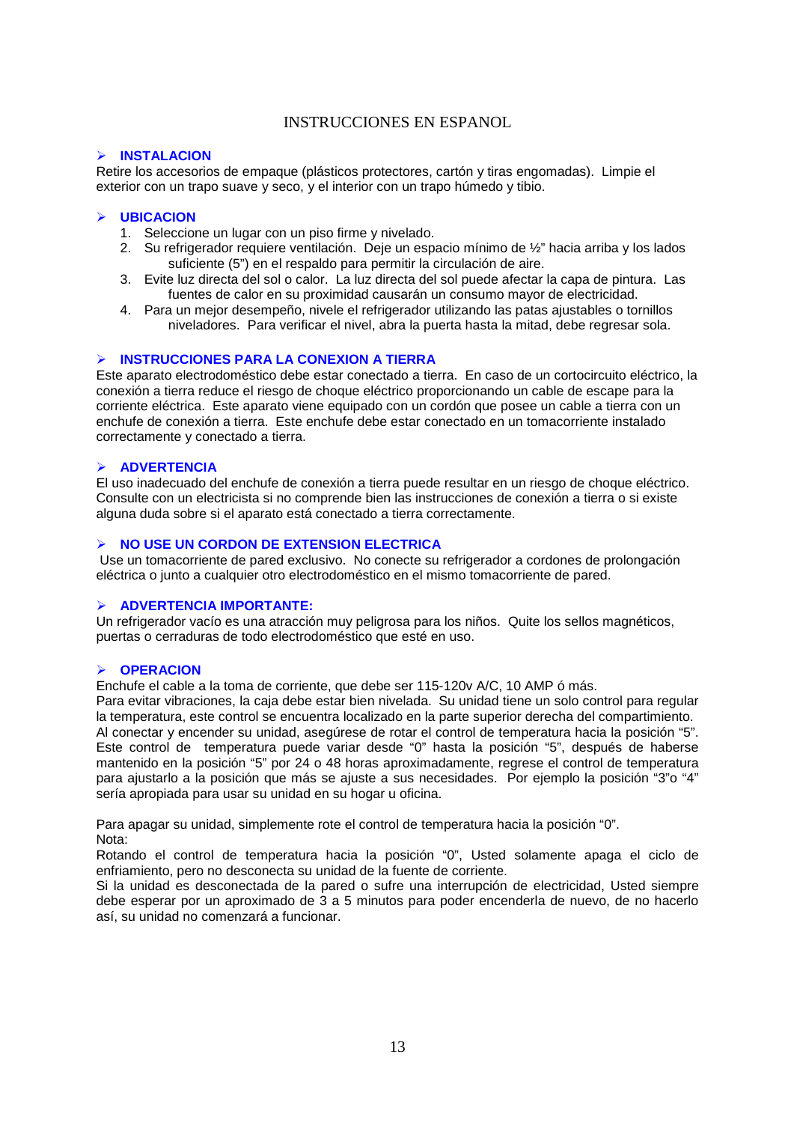## INSTRUCCIONES EN ESPANOL

## **INSTALACION**

Retire los accesorios de empaque (plásticos protectores, cartón y tiras engomadas). Limpie el exterior con un trapo suave y seco, y el interior con un trapo húmedo y tibio.

#### **UBICACION**

- 1. Seleccione un lugar con un piso firme y nivelado.
- 2. Su refrigerador requiere ventilación. Deje un espacio mínimo de ½" hacia arriba y los lados suficiente (5") en el respaldo para permitir la circulación de aire.
- 3. Evite luz directa del sol o calor. La luz directa del sol puede afectar la capa de pintura. Las fuentes de calor en su proximidad causarán un consumo mayor de electricidad.
- 4. Para un mejor desempeño, nivele el refrigerador utilizando las patas ajustables o tornillos niveladores. Para verificar el nivel, abra la puerta hasta la mitad, debe regresar sola.

#### **INSTRUCCIONES PARA LA CONEXION A TIERRA**

Este aparato electrodoméstico debe estar conectado a tierra. En caso de un cortocircuito eléctrico, la conexión a tierra reduce el riesgo de choque eléctrico proporcionando un cable de escape para la corriente eléctrica. Este aparato viene equipado con un cordón que posee un cable a tierra con un enchufe de conexión a tierra. Este enchufe debe estar conectado en un tomacorriente instalado correctamente y conectado a tierra.

#### **ADVERTENCIA**

El uso inadecuado del enchufe de conexión a tierra puede resultar en un riesgo de choque eléctrico. Consulte con un electricista si no comprende bien las instrucciones de conexión a tierra o si existe alguna duda sobre si el aparato está conectado a tierra correctamente.

## **NO USE UN CORDON DE EXTENSION ELECTRICA**

Use un tomacorriente de pared exclusivo. No conecte su refrigerador a cordones de prolongación eléctrica o junto a cualquier otro electrodoméstico en el mismo tomacorriente de pared.

#### **ADVERTENCIA IMPORTANTE:**

Un refrigerador vacío es una atracción muy peligrosa para los niños. Quite los sellos magnéticos, puertas o cerraduras de todo electrodoméstico que esté en uso.

#### **OPERACION**

Enchufe el cable a la toma de corriente, que debe ser 115-120v A/C, 10 AMP ó más.

Para evitar vibraciones, la caja debe estar bien nivelada. Su unidad tiene un solo control para regular la temperatura, este control se encuentra localizado en la parte superior derecha del compartimiento. Al conectar y encender su unidad, asegúrese de rotar el control de temperatura hacia la posición "5". Este control de temperatura puede variar desde "0" hasta la posición "5", después de haberse mantenido en la posición "5" por 24 o 48 horas aproximadamente, regrese el control de temperatura para ajustarlo a la posición que más se ajuste a sus necesidades. Por ejemplo la posición "3"o "4" sería apropiada para usar su unidad en su hogar u oficina.

Para apagar su unidad, simplemente rote el control de temperatura hacia la posición "0". Nota:

Rotando el control de temperatura hacia la posición "0", Usted solamente apaga el ciclo de enfriamiento, pero no desconecta su unidad de la fuente de corriente.

Si la unidad es desconectada de la pared o sufre una interrupción de electricidad, Usted siempre debe esperar por un aproximado de 3 a 5 minutos para poder encenderla de nuevo, de no hacerlo así, su unidad no comenzará a funcionar.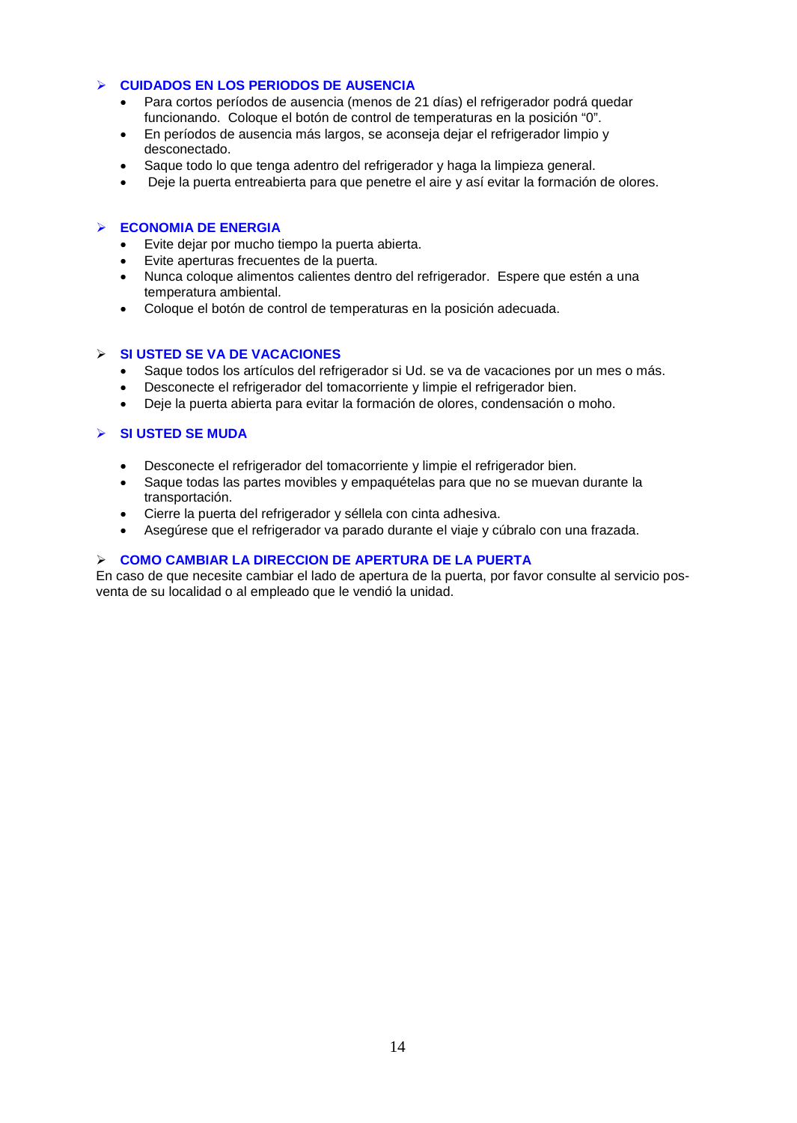## **CUIDADOS EN LOS PERIODOS DE AUSENCIA**

- Para cortos períodos de ausencia (menos de 21 días) el refrigerador podrá quedar funcionando. Coloque el botón de control de temperaturas en la posición "0".
- En períodos de ausencia más largos, se aconseja dejar el refrigerador limpio y desconectado.
- Saque todo lo que tenga adentro del refrigerador y haga la limpieza general.
- Deje la puerta entreabierta para que penetre el aire y así evitar la formación de olores.

## **ECONOMIA DE ENERGIA**

- Evite dejar por mucho tiempo la puerta abierta.
- Evite aperturas frecuentes de la puerta.
- Nunca coloque alimentos calientes dentro del refrigerador. Espere que estén a una temperatura ambiental.
- Coloque el botón de control de temperaturas en la posición adecuada.

## **SI USTED SE VA DE VACACIONES**

- Saque todos los artículos del refrigerador si Ud. se va de vacaciones por un mes o más.
- Desconecte el refrigerador del tomacorriente y limpie el refrigerador bien.
- Deje la puerta abierta para evitar la formación de olores, condensación o moho.

## **SI USTED SE MUDA**

- Desconecte el refrigerador del tomacorriente y limpie el refrigerador bien.
- Saque todas las partes movibles y empaquételas para que no se muevan durante la transportación.
- Cierre la puerta del refrigerador y séllela con cinta adhesiva.
- Asegúrese que el refrigerador va parado durante el viaje y cúbralo con una frazada.

## **COMO CAMBIAR LA DIRECCION DE APERTURA DE LA PUERTA**

En caso de que necesite cambiar el lado de apertura de la puerta, por favor consulte al servicio posventa de su localidad o al empleado que le vendió la unidad.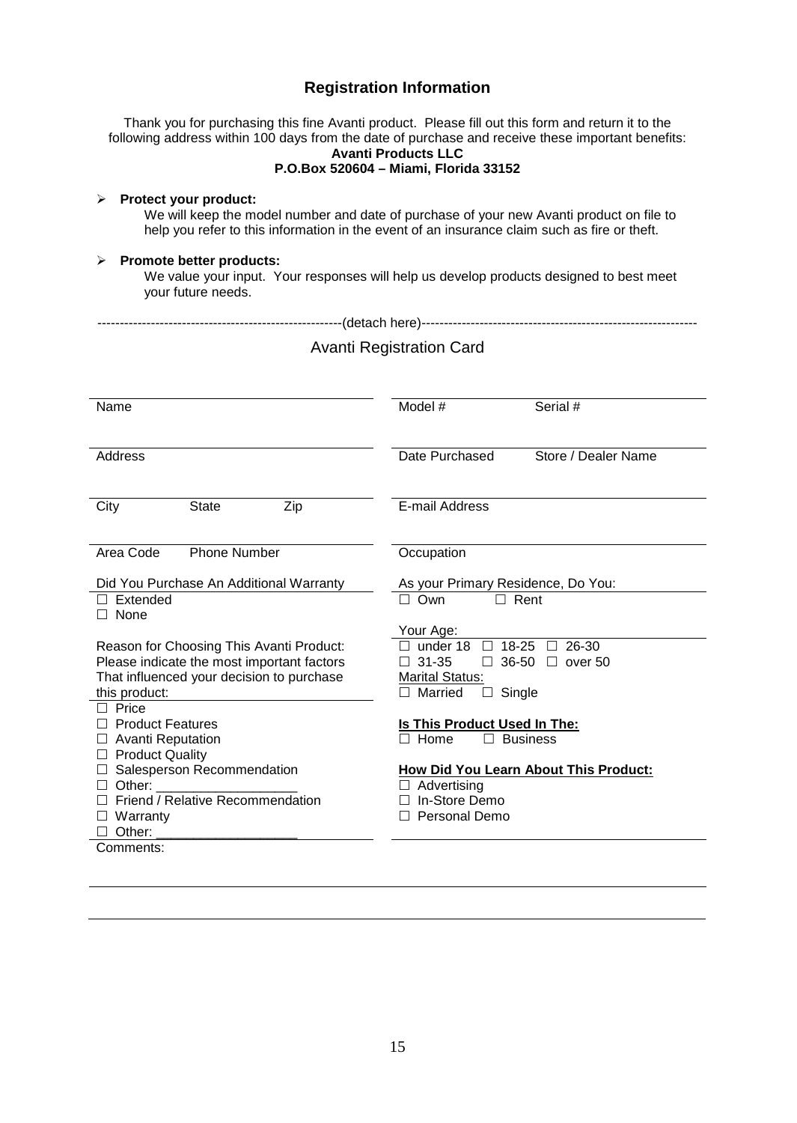# **Registration Information**

|                                                        | Thank you for purchasing this fine Avanti product. Please fill out this form and return it to the<br>following address within 100 days from the date of purchase and receive these important benefits:<br><b>Avanti Products LLC</b><br>P.O.Box 520604 - Miami, Florida 33152 |  |
|--------------------------------------------------------|-------------------------------------------------------------------------------------------------------------------------------------------------------------------------------------------------------------------------------------------------------------------------------|--|
| <b>Protect your product:</b><br>➤                      | We will keep the model number and date of purchase of your new Avanti product on file to<br>help you refer to this information in the event of an insurance claim such as fire or theft.                                                                                      |  |
| Promote better products:<br>your future needs.         | We value your input. Your responses will help us develop products designed to best meet                                                                                                                                                                                       |  |
|                                                        |                                                                                                                                                                                                                                                                               |  |
|                                                        | <b>Avanti Registration Card</b>                                                                                                                                                                                                                                               |  |
| Name                                                   | Model #<br>Serial #                                                                                                                                                                                                                                                           |  |
| <b>Address</b>                                         | Store / Dealer Name<br>Date Purchased                                                                                                                                                                                                                                         |  |
| City<br><b>State</b><br>Zip                            | E-mail Address                                                                                                                                                                                                                                                                |  |
| <b>Phone Number</b><br>Area Code                       | Occupation                                                                                                                                                                                                                                                                    |  |
| Did You Purchase An Additional Warranty                | As your Primary Residence, Do You:                                                                                                                                                                                                                                            |  |
| $\Box$ Extended                                        | $\Box$ Own<br>Rent                                                                                                                                                                                                                                                            |  |
| $\Box$ None                                            | Your Age:                                                                                                                                                                                                                                                                     |  |
| Reason for Choosing This Avanti Product:               | $\Box$ under 18<br>18-25<br>26-30<br>$\Box$<br>$\Box$                                                                                                                                                                                                                         |  |
| Please indicate the most important factors             | $\Box$ 31-35<br>$\Box$ 36-50 $\Box$ over 50                                                                                                                                                                                                                                   |  |
| That influenced your decision to purchase              | <b>Marital Status:</b>                                                                                                                                                                                                                                                        |  |
| this product:<br>$\Box$ Price                          | $\Box$ Married<br>$\Box$ Single                                                                                                                                                                                                                                               |  |
| $\Box$ Product Features                                | Is This Product Used In The:                                                                                                                                                                                                                                                  |  |
| $\Box$ Avanti Reputation                               | $\Box$ Home<br>$\Box$ Business                                                                                                                                                                                                                                                |  |
| $\Box$ Product Quality<br>□ Salesperson Recommendation | How Did You Learn About This Product:                                                                                                                                                                                                                                         |  |
| $\Box$ Other:                                          | $\Box$ Advertising                                                                                                                                                                                                                                                            |  |
| □ Friend / Relative Recommendation                     | □ In-Store Demo                                                                                                                                                                                                                                                               |  |
| $\Box$ Warranty                                        | $\Box$ Personal Demo                                                                                                                                                                                                                                                          |  |
| $\Box$ Other:                                          |                                                                                                                                                                                                                                                                               |  |
| Comments:                                              |                                                                                                                                                                                                                                                                               |  |